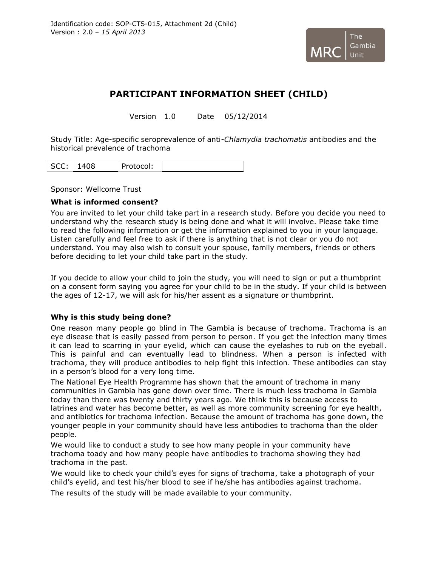

# **PARTICIPANT INFORMATION SHEET (CHILD)**

Version 1.0 Date 05/12/2014

Study Title: Age-specific seroprevalence of anti-*Chlamydia trachomatis* antibodies and the historical prevalence of trachoma

|--|

Sponsor: Wellcome Trust

## **What is informed consent?**

You are invited to let your child take part in a research study. Before you decide you need to understand why the research study is being done and what it will involve. Please take time to read the following information or get the information explained to you in your language. Listen carefully and feel free to ask if there is anything that is not clear or you do not understand. You may also wish to consult your spouse, family members, friends or others before deciding to let your child take part in the study.

If you decide to allow your child to join the study, you will need to sign or put a thumbprint on a consent form saying you agree for your child to be in the study. If your child is between the ages of 12-17, we will ask for his/her assent as a signature or thumbprint.

# **Why is this study being done?**

One reason many people go blind in The Gambia is because of trachoma. Trachoma is an eye disease that is easily passed from person to person. If you get the infection many times it can lead to scarring in your eyelid, which can cause the eyelashes to rub on the eyeball. This is painful and can eventually lead to blindness. When a person is infected with trachoma, they will produce antibodies to help fight this infection. These antibodies can stay in a person's blood for a very long time.

The National Eye Health Programme has shown that the amount of trachoma in many communities in Gambia has gone down over time. There is much less trachoma in Gambia today than there was twenty and thirty years ago. We think this is because access to latrines and water has become better, as well as more community screening for eye health, and antibiotics for trachoma infection. Because the amount of trachoma has gone down, the younger people in your community should have less antibodies to trachoma than the older people.

We would like to conduct a study to see how many people in your community have trachoma toady and how many people have antibodies to trachoma showing they had trachoma in the past.

We would like to check your child's eyes for signs of trachoma, take a photograph of your child's eyelid, and test his/her blood to see if he/she has antibodies against trachoma.

The results of the study will be made available to your community.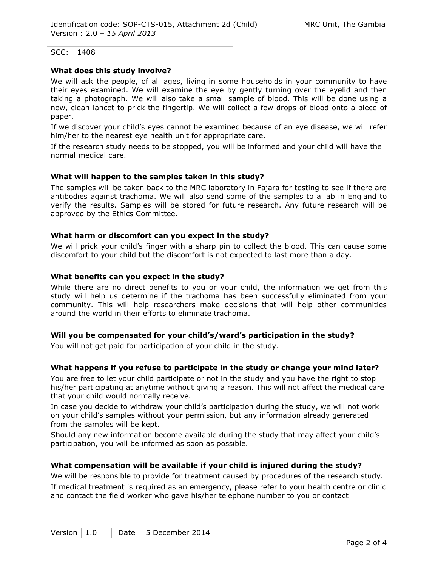$SCC: 1408$ 

#### **What does this study involve?**

We will ask the people, of all ages, living in some households in your community to have their eyes examined. We will examine the eye by gently turning over the eyelid and then taking a photograph. We will also take a small sample of blood. This will be done using a new, clean lancet to prick the fingertip. We will collect a few drops of blood onto a piece of paper.

If we discover your child's eyes cannot be examined because of an eye disease, we will refer him/her to the nearest eye health unit for appropriate care.

If the research study needs to be stopped, you will be informed and your child will have the normal medical care.

#### **What will happen to the samples taken in this study?**

The samples will be taken back to the MRC laboratory in Fajara for testing to see if there are antibodies against trachoma. We will also send some of the samples to a lab in England to verify the results. Samples will be stored for future research. Any future research will be approved by the Ethics Committee.

#### **What harm or discomfort can you expect in the study?**

We will prick your child's finger with a sharp pin to collect the blood. This can cause some discomfort to your child but the discomfort is not expected to last more than a day.

#### **What benefits can you expect in the study?**

While there are no direct benefits to you or your child, the information we get from this study will help us determine if the trachoma has been successfully eliminated from your community. This will help researchers make decisions that will help other communities around the world in their efforts to eliminate trachoma.

## **Will you be compensated for your child's/ward's participation in the study?**

You will not get paid for participation of your child in the study.

## **What happens if you refuse to participate in the study or change your mind later?**

You are free to let your child participate or not in the study and you have the right to stop his/her participating at anytime without giving a reason. This will not affect the medical care that your child would normally receive.

In case you decide to withdraw your child's participation during the study, we will not work on your child's samples without your permission, but any information already generated from the samples will be kept.

Should any new information become available during the study that may affect your child's participation, you will be informed as soon as possible.

## **What compensation will be available if your child is injured during the study?**

We will be responsible to provide for treatment caused by procedures of the research study. If medical treatment is required as an emergency, please refer to your health centre or clinic and contact the field worker who gave his/her telephone number to you or contact

| Version $\vert 1.0 \rangle$ |  | Date $\vert$ 5 December 2014 |
|-----------------------------|--|------------------------------|
|-----------------------------|--|------------------------------|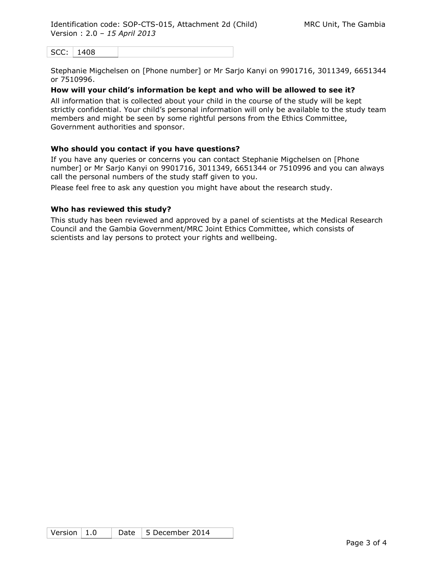SCC: 1408

Stephanie Migchelsen on [Phone number] or Mr Sarjo Kanyi on 9901716, 3011349, 6651344 or 7510996.

# **How will your child's information be kept and who will be allowed to see it?**

All information that is collected about your child in the course of the study will be kept strictly confidential. Your child's personal information will only be available to the study team members and might be seen by some rightful persons from the Ethics Committee, Government authorities and sponsor.

# **Who should you contact if you have questions?**

If you have any queries or concerns you can contact Stephanie Migchelsen on [Phone number] or Mr Sarjo Kanyi on 9901716, 3011349, 6651344 or 7510996 and you can always call the personal numbers of the study staff given to you.

Please feel free to ask any question you might have about the research study.

## **Who has reviewed this study?**

This study has been reviewed and approved by a panel of scientists at the Medical Research Council and the Gambia Government/MRC Joint Ethics Committee, which consists of scientists and lay persons to protect your rights and wellbeing.